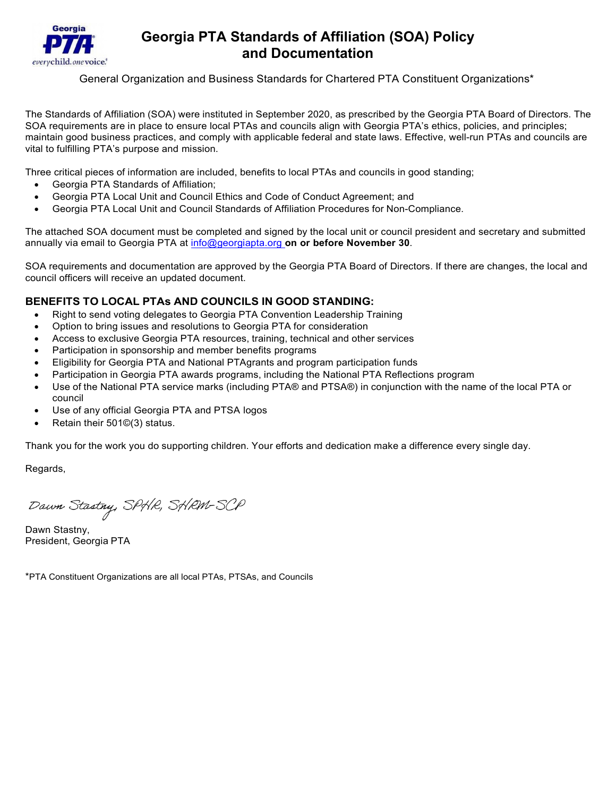

## **Georgia PTA Standards of Affiliation (SOA) Policy and Documentation**

General Organization and Business Standards for Chartered PTA Constituent Organizations\*

The Standards of Affiliation (SOA) were instituted in September 2020, as prescribed by the Georgia PTA Board of Directors. The SOA requirements are in place to ensure local PTAs and councils align with Georgia PTA's ethics, policies, and principles; maintain good business practices, and comply with applicable federal and state laws. Effective, well-run PTAs and councils are vital to fulfilling PTA's purpose and mission.

Three critical pieces of information are included, benefits to local PTAs and councils in good standing;

- Georgia PTA Standards of Affiliation;
- Georgia PTA Local Unit and Council Ethics and Code of Conduct Agreement; and
- Georgia PTA Local Unit and Council Standards of Affiliation Procedures for Non-Compliance.

The attached SOA document must be completed and signed by the local unit or council president and secretary and submitted annually via email to Georgia PTA at [info@georgiapta.org](mailto:info@georgiapta.org) **on or before November 30**.

SOA requirements and documentation are approved by the Georgia PTA Board of Directors. If there are changes, the local and council officers will receive an updated document.

## **BENEFITS TO LOCAL PTAs AND COUNCILS IN GOOD STANDING:**

- Right to send voting delegates to Georgia PTA Convention Leadership Training
- Option to bring issues and resolutions to Georgia PTA for consideration
- Access to exclusive Georgia PTA resources, training, technical and other services
- Participation in sponsorship and member benefits programs
- Eligibility for Georgia PTA and National PTAgrants and program participation funds
- Participation in Georgia PTA awards programs, including the National PTA Reflections program
- Use of the National PTA service marks (including PTA® and PTSA®) in conjunction with the name of the local PTA or council
- Use of any official Georgia PTA and PTSA logos
- Retain their 501©(3) status.

Thank you for the work you do supporting children. Your efforts and dedication make a difference every single day.

Regards,

Dawn Stastny, SPHR, SHRM-SCP

Dawn Stastny, President, Georgia PTA

\*PTA Constituent Organizations are all local PTAs, PTSAs, and Councils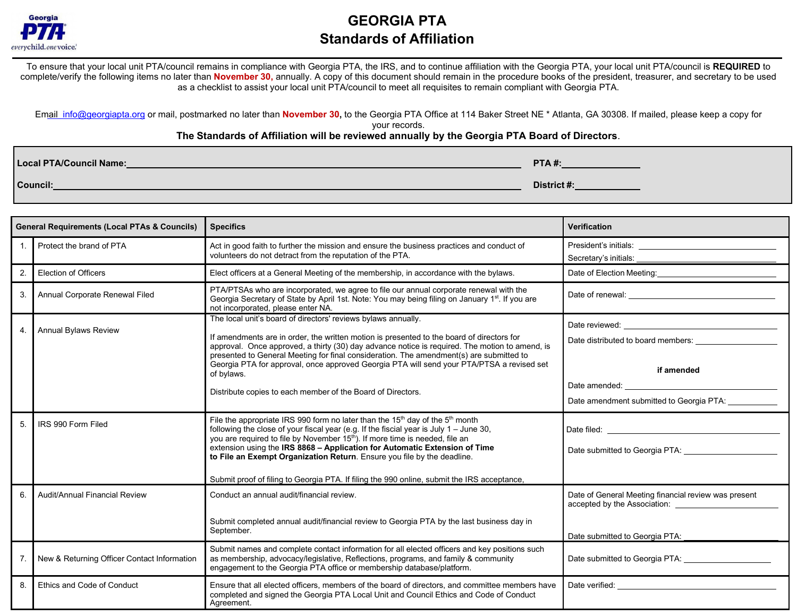

# **GEORGIA PTA Standards of Affiliation**

To ensure that your local unit PTA/council remains in compliance with Georgia PTA, the IRS, and to continue affiliation with the Georgia PTA, your local unit PTA/council is **REQUIRED** to complete/verify the following items no later than **November 30,** annually. A copy of this document should remain in the procedure books of the president, treasurer, and secretary to be used as a checklist to assist your local unit PTA/council to meet all requisites to remain compliant with Georgia PTA.

Email [info@georgiapta.org](mailto:info@georgiapta.org) or mail, postmarked no later than November 30, to the Georgia PTA Office at 114 Baker Street NE \* Atlanta, GA 30308. If mailed, please keep a copy for

#### your records.

### **The Standards of Affiliation will be reviewed annually by the Georgia PTA Board of Directors**.

| Local PTA/Council Name: | <b>PTA#:</b> |
|-------------------------|--------------|
| Council:                | District#:   |

|                  | <b>General Requirements (Local PTAs &amp; Councils)</b> | <b>Specifics</b>                                                                                                                                                                                                                                                                                                                                                                                                                                                                                                                                      | Verification                                                                                                                                                                                                                                                                                                                                                                                                                                          |
|------------------|---------------------------------------------------------|-------------------------------------------------------------------------------------------------------------------------------------------------------------------------------------------------------------------------------------------------------------------------------------------------------------------------------------------------------------------------------------------------------------------------------------------------------------------------------------------------------------------------------------------------------|-------------------------------------------------------------------------------------------------------------------------------------------------------------------------------------------------------------------------------------------------------------------------------------------------------------------------------------------------------------------------------------------------------------------------------------------------------|
|                  | Protect the brand of PTA                                | Act in good faith to further the mission and ensure the business practices and conduct of<br>volunteers do not detract from the reputation of the PTA.                                                                                                                                                                                                                                                                                                                                                                                                |                                                                                                                                                                                                                                                                                                                                                                                                                                                       |
| 2.               | <b>Election of Officers</b>                             | Elect officers at a General Meeting of the membership, in accordance with the bylaws.                                                                                                                                                                                                                                                                                                                                                                                                                                                                 |                                                                                                                                                                                                                                                                                                                                                                                                                                                       |
| 3.               | Annual Corporate Renewal Filed                          | PTA/PTSAs who are incorporated, we agree to file our annual corporate renewal with the<br>Georgia Secretary of State by April 1st. Note: You may being filing on January 1 <sup>st</sup> . If you are<br>not incorporated, please enter NA.                                                                                                                                                                                                                                                                                                           |                                                                                                                                                                                                                                                                                                                                                                                                                                                       |
| $\overline{4}$ . | <b>Annual Bylaws Review</b>                             | The local unit's board of directors' reviews bylaws annually.<br>If amendments are in order, the written motion is presented to the board of directors for<br>approval. Once approved, a thirty (30) day advance notice is required. The motion to amend, is<br>presented to General Meeting for final consideration. The amendment(s) are submitted to<br>Georgia PTA for approval, once approved Georgia PTA will send your PTA/PTSA a revised set<br>of bylaws.<br>Distribute copies to each member of the Board of Directors.                     | Date reviewed: <u>contract and a series of the series of the series of the series of the series of the series of the series of the series of the series of the series of the series of the series of the series of the series of</u><br>Date distributed to board members:<br>if amended<br>Date amended: University of the state of the state of the state of the state of the state of the state of the<br>Date amendment submitted to Georgia PTA: |
| 5                | IRS 990 Form Filed                                      | File the appropriate IRS 990 form no later than the 15 <sup>th</sup> day of the 5 <sup>th</sup> month<br>following the close of your fiscal year (e.g. If the fiscial year is July $1 -$ June 30,<br>you are required to file by November 15 <sup>th</sup> ). If more time is needed, file an<br>extension using the IRS 8868 - Application for Automatic Extension of Time<br>to File an Exempt Organization Return. Ensure you file by the deadline.<br>Submit proof of filing to Georgia PTA. If filing the 990 online, submit the IRS acceptance, | Date submitted to Georgia PTA: <b>Cambridge Contract Contract PTA:</b>                                                                                                                                                                                                                                                                                                                                                                                |
| 6                | Audit/Annual Financial Review                           | Conduct an annual audit/financial review.<br>Submit completed annual audit/financial review to Georgia PTA by the last business day in<br>September.                                                                                                                                                                                                                                                                                                                                                                                                  | Date of General Meeting financial review was present<br>Date submitted to Georgia PTA: _                                                                                                                                                                                                                                                                                                                                                              |
| 7.               | New & Returning Officer Contact Information             | Submit names and complete contact information for all elected officers and key positions such<br>as membership, advocacy/legislative, Reflections, programs, and family & community<br>engagement to the Georgia PTA office or membership database/platform.                                                                                                                                                                                                                                                                                          | Date submitted to Georgia PTA: _______________________                                                                                                                                                                                                                                                                                                                                                                                                |
| 8.               | Ethics and Code of Conduct                              | Ensure that all elected officers, members of the board of directors, and committee members have<br>completed and signed the Georgia PTA Local Unit and Council Ethics and Code of Conduct<br>Agreement.                                                                                                                                                                                                                                                                                                                                               | Date verified: The contract of the contract of the contract of the contract of the contract of the contract of the contract of the contract of the contract of the contract of the contract of the contract of the contract of                                                                                                                                                                                                                        |